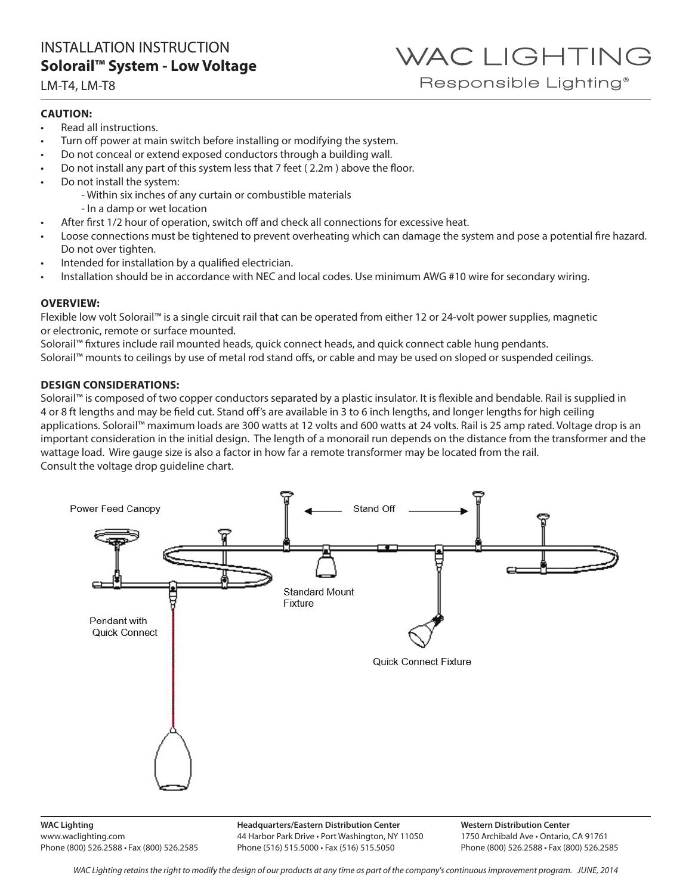## WAC LIGHTING Responsible Lighting<sup>®</sup>

#### LM-T4, LM-T8

#### **CAUTION:**

- Read all instructions.
- Turn off power at main switch before installing or modifying the system.
- Do not conceal or extend exposed conductors through a building wall.
- Do not install any part of this system less that 7 feet ( 2.2m ) above the floor.
- Do not install the system:
	- Within six inches of any curtain or combustible materials
	- In a damp or wet location
- After first 1/2 hour of operation, switch off and check all connections for excessive heat.
- Loose connections must be tightened to prevent overheating which can damage the system and pose a potential fire hazard. Do not over tighten.
- Intended for installation by a qualified electrician.
- Installation should be in accordance with NEC and local codes. Use minimum AWG #10 wire for secondary wiring.

#### **OVERVIEW:**

Flexible low volt Solorail™ is a single circuit rail that can be operated from either 12 or 24-volt power supplies, magnetic or electronic, remote or surface mounted.

Solorail™ fixtures include rail mounted heads, quick connect heads, and quick connect cable hung pendants. Solorail™ mounts to ceilings by use of metal rod stand offs, or cable and may be used on sloped or suspended ceilings.

#### **DESIGN CONSIDERATIONS:**

Solorail™ is composed of two copper conductors separated by a plastic insulator. It is flexible and bendable. Rail is supplied in 4 or 8 ft lengths and may be field cut. Stand off's are available in 3 to 6 inch lengths, and longer lengths for high ceiling applications. Solorail™ maximum loads are 300 watts at 12 volts and 600 watts at 24 volts. Rail is 25 amp rated. Voltage drop is an important consideration in the initial design. The length of a monorail run depends on the distance from the transformer and the wattage load. Wire gauge size is also a factor in how far a remote transformer may be located from the rail. Consult the voltage drop guideline chart.



**WAC Lighting** www.waclighting.com Phone (800) 526.2588 • Fax (800) 526.2585 **Headquarters/Eastern Distribution Center** 44 Harbor Park Drive • Port Washington, NY 11050 Phone (516) 515.5000 • Fax (516) 515.5050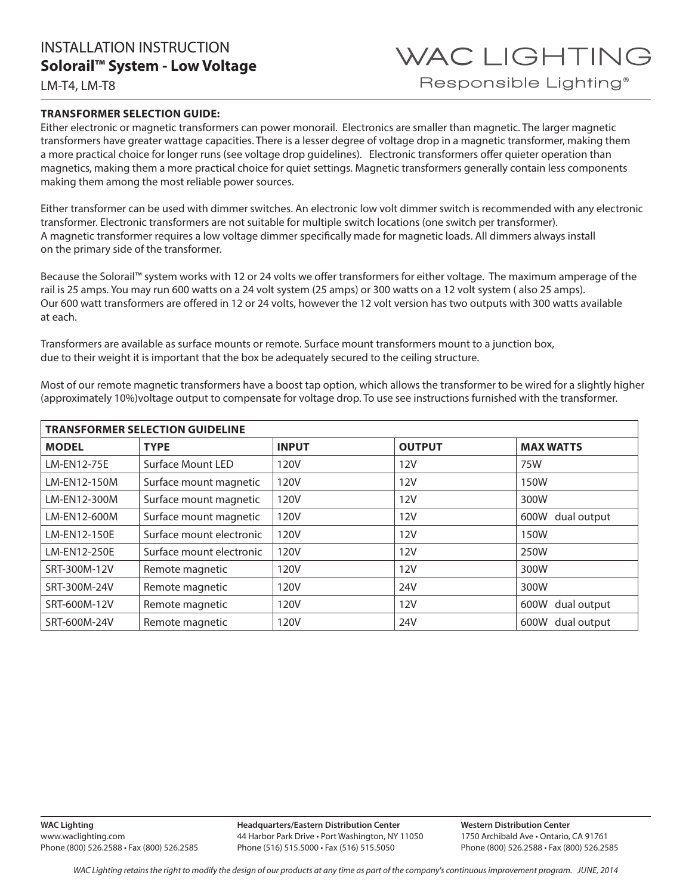WAC LIGHTING Responsible Lighting<sup>®</sup>

LM-T4, LM-T8

#### **TRANSFORMER SELECTION GUIDE:**

Either electronic or magnetic transformers can power monorail. Electronics are smaller than magnetic. The larger magnetic transformers have greater wattage capacities. There is a lesser degree of voltage drop in a magnetic transformer, making them a more practical choice for longer runs (see voltage drop guidelines). Electronic transformers offer quieter operation than magnetics, making them a more practical choice for quiet settings. Magnetic transformers generally contain less components making them among the most reliable power sources.

Either transformer can be used with dimmer switches. An electronic low volt dimmer switch is recommended with any electronic transformer. Electronic transformers are not suitable for multiple switch locations (one switch per transformer). A magnetic transformer requires a low voltage dimmer specifically made for magnetic loads. All dimmers always install on the primary side of the transformer.

Because the Solorail™ system works with 12 or 24 volts we offer transformers for either voltage. The maximum amperage of the rail is 25 amps. You may run 600 watts on a 24 volt system (25 amps) or 300 watts on a 12 volt system ( also 25 amps). Our 600 watt transformers are offered in 12 or 24 volts, however the 12 volt version has two outputs with 300 watts available at each.

Transformers are available as surface mounts or remote. Surface mount transformers mount to a junction box, due to their weight it is important that the box be adequately secured to the ceiling structure.

| <b>TRANSFORMER SELECTION GUIDELINE</b> |                          |              |               |                     |  |  |  |  |  |  |
|----------------------------------------|--------------------------|--------------|---------------|---------------------|--|--|--|--|--|--|
| <b>MODEL</b>                           | <b>TYPE</b>              | <b>INPUT</b> | <b>OUTPUT</b> | <b>MAX WATTS</b>    |  |  |  |  |  |  |
| LM-EN12-75E                            | Surface Mount LED        | 120V         | 12V           | 75W                 |  |  |  |  |  |  |
| LM-EN12-150M                           | Surface mount magnetic   | 120V         | 12V           | 150W                |  |  |  |  |  |  |
| LM-EN12-300M                           | Surface mount magnetic   | 120V         | 12V           | 300W                |  |  |  |  |  |  |
| LM-EN12-600M                           | Surface mount magnetic   | 120V         | <b>12V</b>    | 600W<br>dual output |  |  |  |  |  |  |
| LM-EN12-150E                           | Surface mount electronic | 120V         | <b>12V</b>    | 150W                |  |  |  |  |  |  |
| LM-EN12-250E                           | Surface mount electronic | 120V         | 12V           | 250W                |  |  |  |  |  |  |
| SRT-300M-12V                           | Remote magnetic          | 120V         | 12V           | 300W                |  |  |  |  |  |  |
| SRT-300M-24V                           | Remote magnetic          | 120V         | 24V           | 300W                |  |  |  |  |  |  |
| SRT-600M-12V                           | Remote magnetic          | 120V         | <b>12V</b>    | dual output<br>600W |  |  |  |  |  |  |
| SRT-600M-24V                           | Remote magnetic          | 120V         | 24V           | 600W<br>dual output |  |  |  |  |  |  |

Most of our remote magnetic transformers have a boost tap option, which allows the transformer to be wired for a slightly higher (approximately 10%)voltage output to compensate for voltage drop. To use see instructions furnished with the transformer.

**Headquarters/Eastern Distribution Center** 44 Harbor Park Drive • Port Washington, NY 11050 Phone (516) 515.5000 • Fax (516) 515.5050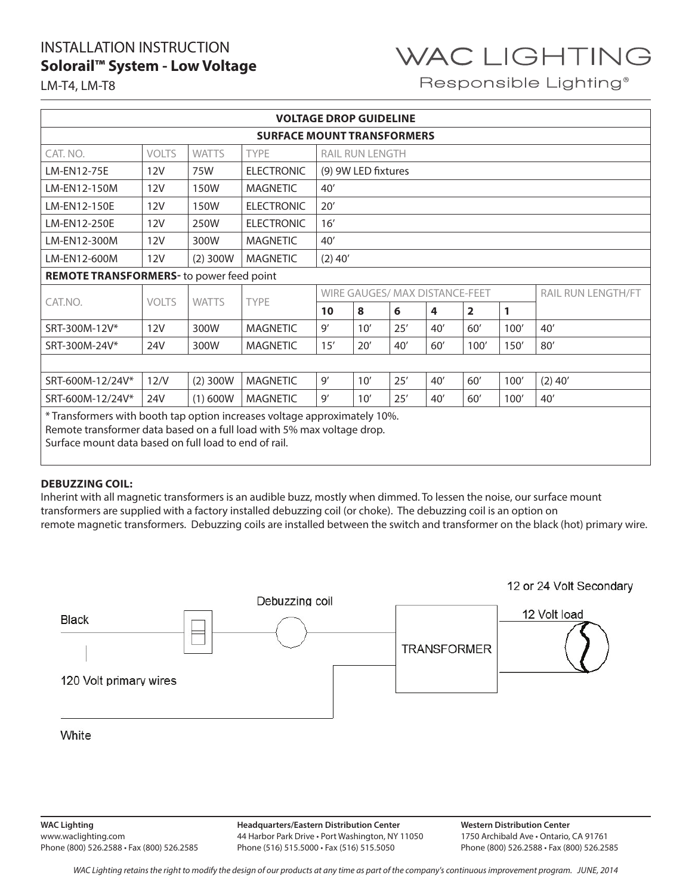

Responsible Lighting<sup>®</sup>

LM-T4, LM-T8

| <b>VOLTAGE DROP GUIDELINE</b>                                                                                                                                                                                |              |              |                   |                                |     |     |     |                         |      |                           |  |
|--------------------------------------------------------------------------------------------------------------------------------------------------------------------------------------------------------------|--------------|--------------|-------------------|--------------------------------|-----|-----|-----|-------------------------|------|---------------------------|--|
| <b>SURFACE MOUNT TRANSFORMERS</b>                                                                                                                                                                            |              |              |                   |                                |     |     |     |                         |      |                           |  |
| CAT. NO.                                                                                                                                                                                                     | <b>VOLTS</b> | <b>WATTS</b> | <b>TYPE</b>       | RAIL RUN LENGTH                |     |     |     |                         |      |                           |  |
| LM-EN12-75E                                                                                                                                                                                                  | <b>12V</b>   | 75W          | <b>ELECTRONIC</b> | (9) 9W LED fixtures            |     |     |     |                         |      |                           |  |
| LM-EN12-150M                                                                                                                                                                                                 | 12V          | 150W         | <b>MAGNETIC</b>   | 40'                            |     |     |     |                         |      |                           |  |
| LM-EN12-150E                                                                                                                                                                                                 | 12V          | 150W         | <b>ELECTRONIC</b> | 20'                            |     |     |     |                         |      |                           |  |
| LM-EN12-250E                                                                                                                                                                                                 | 12V          | 250W         | <b>ELECTRONIC</b> | 16'                            |     |     |     |                         |      |                           |  |
| LM-EN12-300M                                                                                                                                                                                                 | 12V          | 300W         | <b>MAGNETIC</b>   | 40'                            |     |     |     |                         |      |                           |  |
| LM-EN12-600M                                                                                                                                                                                                 | 12V          | $(2)$ 300W   | <b>MAGNETIC</b>   | $(2)$ 40'                      |     |     |     |                         |      |                           |  |
| REMOTE TRANSFORMERS- to power feed point                                                                                                                                                                     |              |              |                   |                                |     |     |     |                         |      |                           |  |
| CAT.NO.                                                                                                                                                                                                      | <b>VOLTS</b> | <b>WATTS</b> | <b>TYPE</b>       | WIRE GAUGES/ MAX DISTANCE-FEET |     |     |     |                         |      | <b>RAIL RUN LENGTH/FT</b> |  |
|                                                                                                                                                                                                              |              |              |                   | 10                             | 8   | 6   | 4   | $\overline{\mathbf{2}}$ | 1    |                           |  |
| SRT-300M-12V*                                                                                                                                                                                                | 12V          | 300W         | <b>MAGNETIC</b>   | 9'                             | 10' | 25' | 40' | 60'                     | 100' | 40'                       |  |
| SRT-300M-24V*                                                                                                                                                                                                | 24V          | 300W         | <b>MAGNETIC</b>   | 15'                            | 20' | 40' | 60' | 100'                    | 150' | 80'                       |  |
|                                                                                                                                                                                                              |              |              |                   |                                |     |     |     |                         |      |                           |  |
| SRT-600M-12/24V*                                                                                                                                                                                             | 12/V         | (2) 300W     | <b>MAGNETIC</b>   | 9'                             | 10' | 25' | 40' | 60'                     | 100' | $(2)$ 40'                 |  |
| SRT-600M-12/24V*                                                                                                                                                                                             | 24V          | (1) 600W     | <b>MAGNETIC</b>   | 9'                             | 10' | 25' | 40' | 60'                     | 100' | 40'                       |  |
| * Transformers with booth tap option increases voltage approximately 10%.<br>Remote transformer data based on a full load with 5% max voltage drop.<br>Surface mount data based on full load to end of rail. |              |              |                   |                                |     |     |     |                         |      |                           |  |

#### **DEBUZZING COIL:**

Inherint with all magnetic transformers is an audible buzz, mostly when dimmed. To lessen the noise, our surface mount transformers are supplied with a factory installed debuzzing coil (or choke). The debuzzing coil is an option on remote magnetic transformers. Debuzzing coils are installed between the switch and transformer on the black (hot) primary wire.



**Headquarters/Eastern Distribution Center** 44 Harbor Park Drive • Port Washington, NY 11050 Phone (516) 515.5000 • Fax (516) 515.5050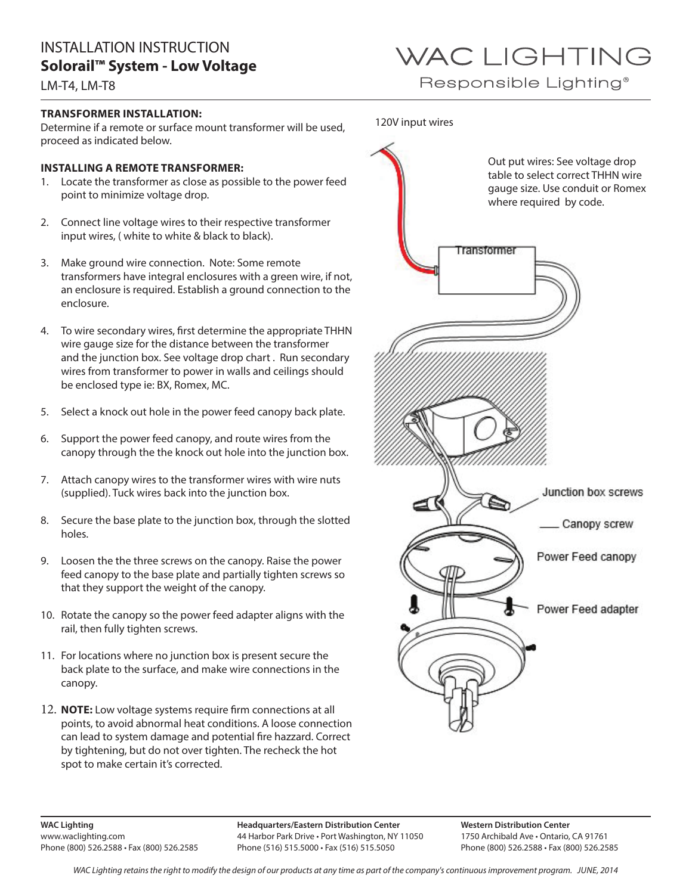LM-T4, LM-T8

#### **TRANSFORMER INSTALLATION:**

Determine if a remote or surface mount transformer will be used, proceed as indicated below.

#### **INSTALLING A REMOTE TRANSFORMER:**

- 1. Locate the transformer as close as possible to the power feed point to minimize voltage drop.
- 2. Connect line voltage wires to their respective transformer input wires, ( white to white & black to black).
- 3. Make ground wire connection. Note: Some remote transformers have integral enclosures with a green wire, if not, an enclosure is required. Establish a ground connection to the enclosure.
- 4. To wire secondary wires, first determine the appropriate THHN wire gauge size for the distance between the transformer and the junction box. See voltage drop chart . Run secondary wires from transformer to power in walls and ceilings should be enclosed type ie: BX, Romex, MC.
- 5. Select a knock out hole in the power feed canopy back plate.
- 6. Support the power feed canopy, and route wires from the canopy through the the knock out hole into the junction box.
- 7. Attach canopy wires to the transformer wires with wire nuts (supplied). Tuck wires back into the junction box.
- 8. Secure the base plate to the junction box, through the slotted holes.
- 9. Loosen the the three screws on the canopy. Raise the power feed canopy to the base plate and partially tighten screws so that they support the weight of the canopy.
- 10. Rotate the canopy so the power feed adapter aligns with the rail, then fully tighten screws.
- 11. For locations where no junction box is present secure the back plate to the surface, and make wire connections in the canopy.
- 12. **NOTE:** Low voltage systems require firm connections at all points, to avoid abnormal heat conditions. A loose connection can lead to system damage and potential fire hazzard. Correct by tightening, but do not over tighten. The recheck the hot spot to make certain it's corrected.



Responsible Lighting<sup>®</sup>

120V input wires



**WAC Lighting** www.waclighting.com Phone (800) 526.2588 • Fax (800) 526.2585 **Headquarters/Eastern Distribution Center** 44 Harbor Park Drive • Port Washington, NY 11050 Phone (516) 515.5000 • Fax (516) 515.5050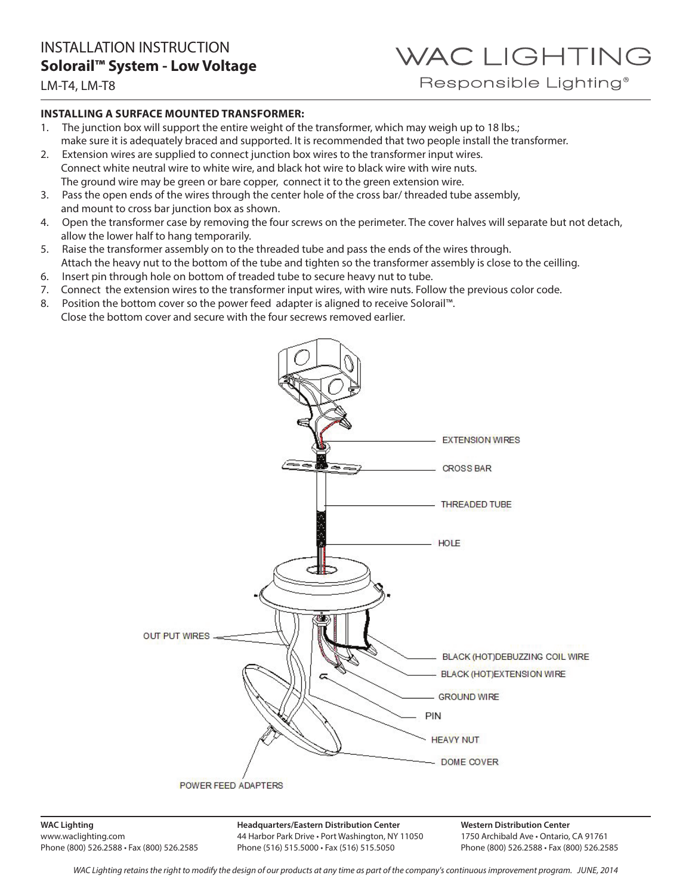# WAC LIGHTING

Responsible Lighting<sup>®</sup>

#### LM-T4, LM-T8

#### **INSTALLING A SURFACE MOUNTED TRANSFORMER:**

- 1. The junction box will support the entire weight of the transformer, which may weigh up to 18 lbs.; make sure it is adequately braced and supported. It is recommended that two people install the transformer.
- 2. Extension wires are supplied to connect junction box wires to the transformer input wires. Connect white neutral wire to white wire, and black hot wire to black wire with wire nuts. The ground wire may be green or bare copper, connect it to the green extension wire.
- 3. Pass the open ends of the wires through the center hole of the cross bar/ threaded tube assembly, and mount to cross bar junction box as shown.
- 4. Open the transformer case by removing the four screws on the perimeter. The cover halves will separate but not detach, allow the lower half to hang temporarily.
- 5. Raise the transformer assembly on to the threaded tube and pass the ends of the wires through. Attach the heavy nut to the bottom of the tube and tighten so the transformer assembly is close to the ceilling.
- 6. Insert pin through hole on bottom of treaded tube to secure heavy nut to tube.
- 7. Connect the extension wires to the transformer input wires, with wire nuts. Follow the previous color code.
- 8. Position the bottom cover so the power feed adapter is aligned to receive Solorail™. Close the bottom cover and secure with the four secrews removed earlier.



**WAC Lighting** www.waclighting.com Phone (800) 526.2588 • Fax (800) 526.2585 **Headquarters/Eastern Distribution Center** 44 Harbor Park Drive • Port Washington, NY 11050 Phone (516) 515.5000 • Fax (516) 515.5050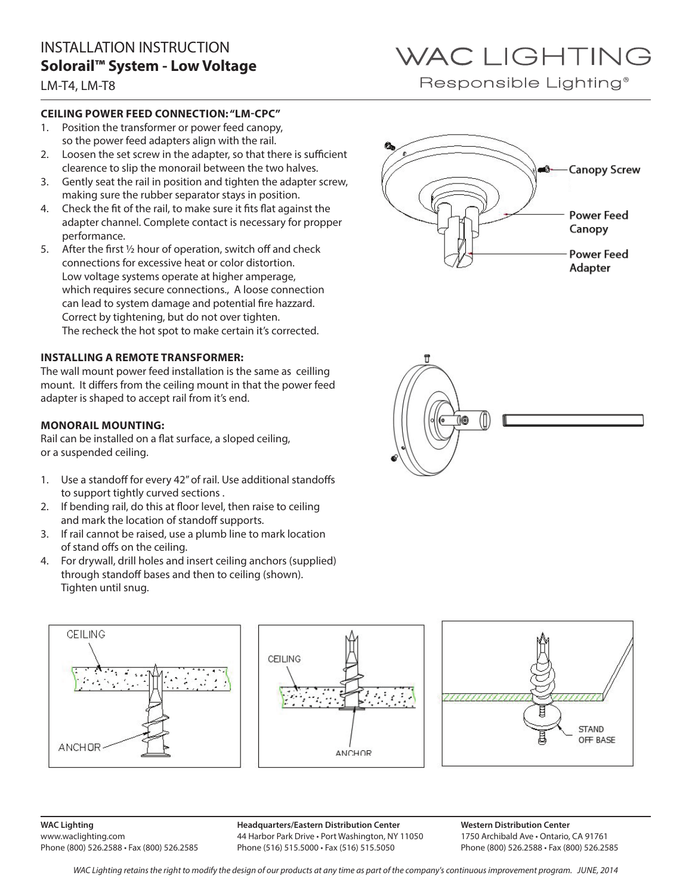LM-T4, LM-T8

#### **CEILING POWER FEED CONNECTION: "LM-CPC"**

- 1. Position the transformer or power feed canopy, so the power feed adapters align with the rail.
- 2. Loosen the set screw in the adapter, so that there is sufficient clearence to slip the monorail between the two halves.
- 3. Gently seat the rail in position and tighten the adapter screw, making sure the rubber separator stays in position.
- 4. Check the fit of the rail, to make sure it fits flat against the adapter channel. Complete contact is necessary for propper performance.
- 5. After the first ½ hour of operation, switch off and check connections for excessive heat or color distortion. Low voltage systems operate at higher amperage, which requires secure connections., A loose connection can lead to system damage and potential fire hazzard. Correct by tightening, but do not over tighten. The recheck the hot spot to make certain it's corrected.

#### **INSTALLING A REMOTE TRANSFORMER:**

The wall mount power feed installation is the same as ceilling mount. It differs from the ceiling mount in that the power feed adapter is shaped to accept rail from it's end.

#### **MONORAIL MOUNTING:**

Rail can be installed on a flat surface, a sloped ceiling, or a suspended ceiling.

- 1. Use a standoff for every 42" of rail. Use additional standoffs to support tightly curved sections .
- 2. If bending rail, do this at floor level, then raise to ceiling and mark the location of standoff supports.
- 3. If rail cannot be raised, use a plumb line to mark location of stand offs on the ceiling.
- 4. For drywall, drill holes and insert ceiling anchors (supplied) through standoff bases and then to ceiling (shown). Tighten until snug.







## WAC LIGHTING Responsible Lighting<sup>®</sup>





**WAC Lighting** www.waclighting.com Phone (800) 526.2588 • Fax (800) 526.2585 **Headquarters/Eastern Distribution Center** 44 Harbor Park Drive • Port Washington, NY 11050 Phone (516) 515.5000 • Fax (516) 515.5050

**Western Distribution Center**  1750 Archibald Ave • Ontario, CA 91761 Phone (800) 526.2588 • Fax (800) 526.2585

*WAC Lighting retains the right to modify the design of our products at any time as part of the company's continuous improvement program. June, 2014*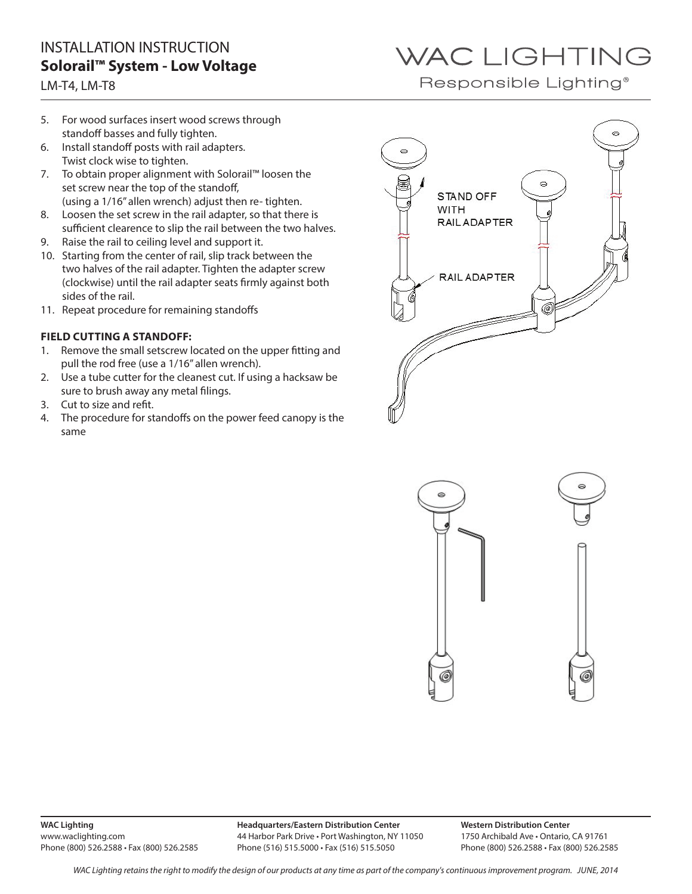#### LM-T4, LM-T8

## WAC LIGHTING

Responsible Lighting<sup>®</sup>

- 5. For wood surfaces insert wood screws through standoff basses and fully tighten.
- 6. Install standoff posts with rail adapters. Twist clock wise to tighten.
- 7. To obtain proper alignment with Solorail™ loosen the set screw near the top of the standoff, (using a 1/16" allen wrench) adjust then re- tighten.
- 8. Loosen the set screw in the rail adapter, so that there is sufficient clearence to slip the rail between the two halves.
- 9. Raise the rail to ceiling level and support it.
- 10. Starting from the center of rail, slip track between the two halves of the rail adapter. Tighten the adapter screw (clockwise) until the rail adapter seats firmly against both sides of the rail.
- 11. Repeat procedure for remaining standoffs

#### **FIELD CUTTING A STANDOFF:**

- 1. Remove the small setscrew located on the upper fitting and pull the rod free (use a 1/16" allen wrench).
- 2. Use a tube cutter for the cleanest cut. If using a hacksaw be sure to brush away any metal filings.
- 3. Cut to size and refit.
- 4. The procedure for standoffs on the power feed canopy is the same





**Headquarters/Eastern Distribution Center** 44 Harbor Park Drive • Port Washington, NY 11050 Phone (516) 515.5000 • Fax (516) 515.5050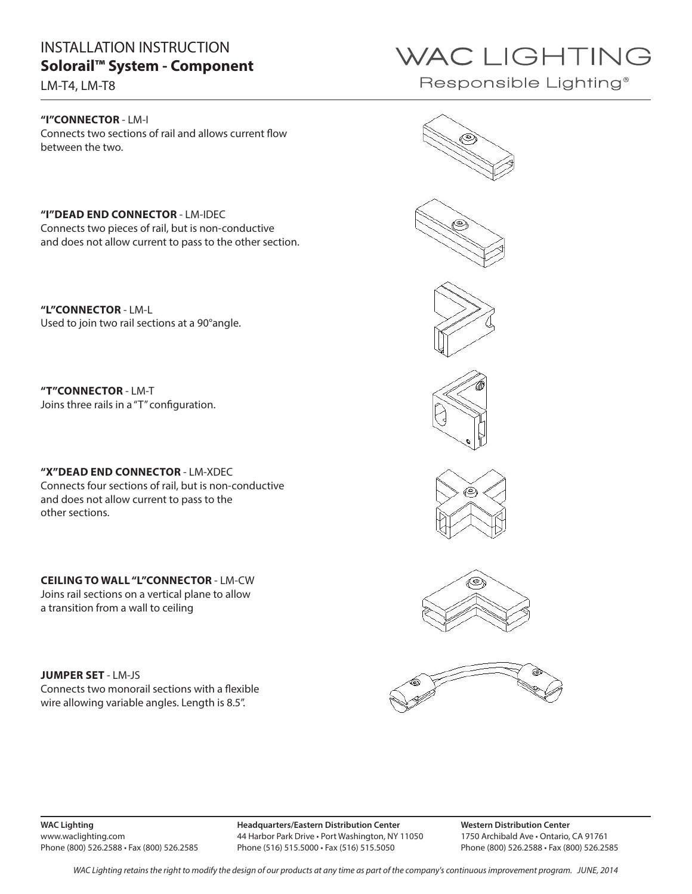### INSTALLATION INSTRUCTION **Solorail™ System - Component**

LM-T4, LM-T8

#### **"I"CONNECTOR** - LM-I Connects two sections of rail and allows current flow between the two.

**"I"DEAD END CONNECTOR** - LM-IDEC Connects two pieces of rail, but is non-conductive and does not allow current to pass to the other section.

**"L"CONNECTOR** - LM-L Used to join two rail sections at a 90°angle.

**"T"CONNECTOR** - LM-T Joins three rails in a "T" configuration.

**"X"DEAD END CONNECTOR** - LM-XDEC Connects four sections of rail, but is non-conductive and does not allow current to pass to the other sections.

**CEILING TO WALL "L"CONNECTOR** - LM-CW Joins rail sections on a vertical plane to allow a transition from a wall to ceiling

**JUMPER SET** - LM-JS Connects two monorail sections with a flexible wire allowing variable angles. Length is 8.5".

**WAC Lighting** www.waclighting.com Phone (800) 526.2588 • Fax (800) 526.2585

44 Harbor Park Drive • Port Washington, NY 11050 Phone (516) 515.5000 • Fax (516) 515.5050

**Western Distribution Center**  1750 Archibald Ave • Ontario, CA 91761 Phone (800) 526.2588 • Fax (800) 526.2585

















## WAC LIGHTING

Responsible Lighting<sup>®</sup>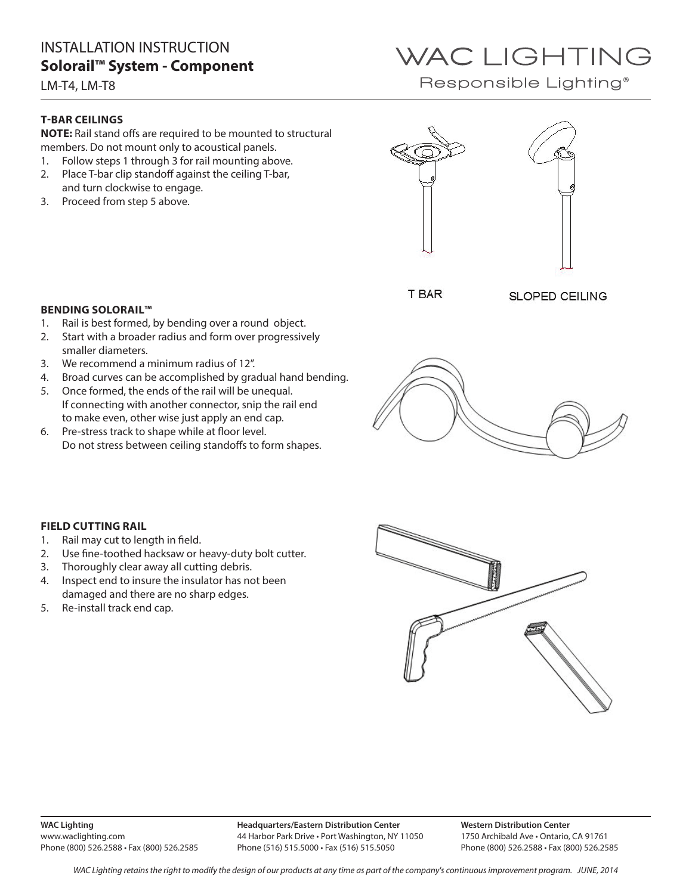### INSTALLATION INSTRUCTION **Solorail™ System - Component**

LM-T4, LM-T8

#### **T-BAR CEILINGS**

**NOTE:** Rail stand offs are required to be mounted to structural members. Do not mount only to acoustical panels.

- 1. Follow steps 1 through 3 for rail mounting above.
- 2. Place T-bar clip standoff against the ceiling T-bar, and turn clockwise to engage.
- 3. Proceed from step 5 above.





**T BAR** 

**SLOPED CEILING** 

#### **BENDING SOLORAIL™**

- 1. Rail is best formed, by bending over a round object.
- 2. Start with a broader radius and form over progressively smaller diameters.
- 3. We recommend a minimum radius of 12".
- 4. Broad curves can be accomplished by gradual hand bending.
- 5. Once formed, the ends of the rail will be unequal. If connecting with another connector, snip the rail end to make even, other wise just apply an end cap.
- 6. Pre-stress track to shape while at floor level. Do not stress between ceiling standoffs to form shapes.



#### **FIELD CUTTING RAIL**

- 1. Rail may cut to length in field.
- 2. Use fine-toothed hacksaw or heavy-duty bolt cutter.
- 3. Thoroughly clear away all cutting debris.
- 4. Inspect end to insure the insulator has not been damaged and there are no sharp edges.
- 5. Re-install track end cap.



**WAC Lighting** www.waclighting.com Phone (800) 526.2588 • Fax (800) 526.2585 **Headquarters/Eastern Distribution Center** 44 Harbor Park Drive • Port Washington, NY 11050 Phone (516) 515.5000 • Fax (516) 515.5050

**Western Distribution Center**  1750 Archibald Ave • Ontario, CA 91761 Phone (800) 526.2588 • Fax (800) 526.2585

*WAC Lighting retains the right to modify the design of our products at any time as part of the company's continuous improvement program. June, 2014*

## WAC LIGHTING

Responsible Lighting<sup>®</sup>